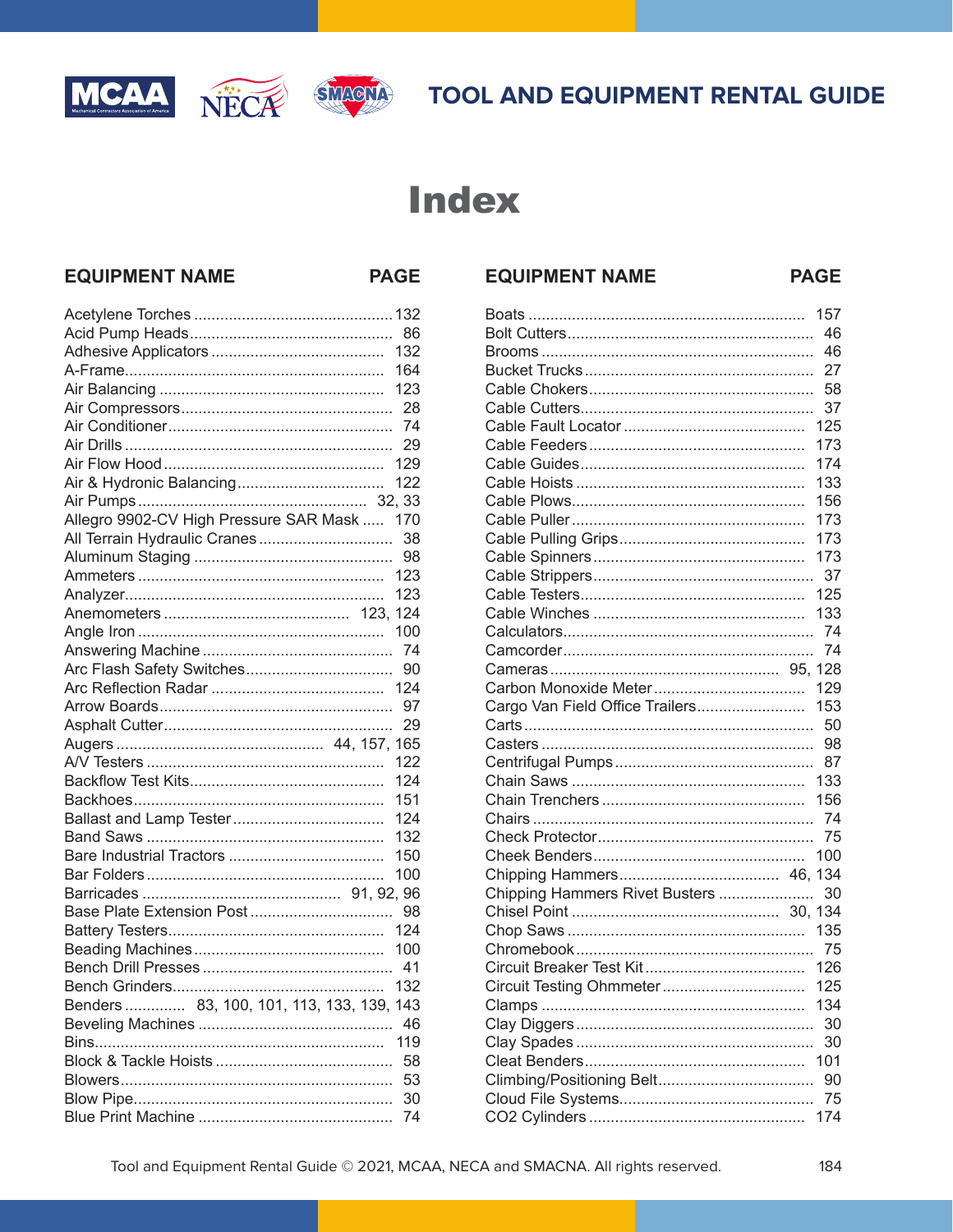





**PAGE** 

**EQUIPMENT NAME** 

# **Index**

## **EQUIPMENT NAME**

**PAGE** 

|                                           | 86  |
|-------------------------------------------|-----|
|                                           | 132 |
|                                           | 164 |
|                                           | 123 |
|                                           | 28  |
|                                           | 74  |
|                                           | 29  |
|                                           | 129 |
|                                           | 122 |
|                                           |     |
| Allegro 9902-CV High Pressure SAR Mask    | 170 |
| All Terrain Hydraulic Cranes              | 38  |
|                                           | 98  |
|                                           | 123 |
|                                           | 123 |
|                                           | 124 |
|                                           | 100 |
|                                           | 74  |
| Arc Flash Safety Switches                 | 90  |
|                                           | 124 |
|                                           | 97  |
|                                           | 29  |
|                                           | 165 |
|                                           | 122 |
|                                           | 124 |
|                                           | 151 |
|                                           | 124 |
|                                           | 132 |
|                                           | 150 |
|                                           | 100 |
|                                           |     |
| Base Plate Extension Post                 | 98  |
|                                           | 124 |
|                                           | 100 |
|                                           | 41  |
|                                           | 132 |
| Benders  83, 100, 101, 113, 133, 139, 143 |     |
|                                           | 46  |
|                                           | 119 |
|                                           | 58  |
|                                           | 53  |
|                                           | 30  |
|                                           | 74  |

|                                 | 157 |
|---------------------------------|-----|
|                                 | 46  |
|                                 | 46  |
|                                 | 27  |
|                                 | 58  |
|                                 | 37  |
|                                 | 125 |
|                                 | 173 |
|                                 | 174 |
|                                 | 133 |
|                                 | 156 |
|                                 | 173 |
|                                 | 173 |
|                                 | 173 |
|                                 | 37  |
|                                 | 125 |
|                                 | 133 |
|                                 | 74  |
|                                 | 74  |
|                                 |     |
|                                 | 129 |
| Cargo Van Field Office Trailers | 153 |
|                                 | 50  |
|                                 | 98  |
|                                 | 87  |
|                                 | 133 |
|                                 | 156 |
|                                 | 74  |
|                                 | 75  |
|                                 | 100 |
|                                 |     |
| Chipping Hammers Rivet Busters  | 30  |
|                                 |     |
|                                 | 135 |
|                                 |     |
|                                 | 126 |
|                                 |     |
|                                 | 134 |
|                                 | 30  |
|                                 | 30  |
|                                 | 101 |
|                                 | 90  |
|                                 | 75  |
|                                 | 174 |
|                                 |     |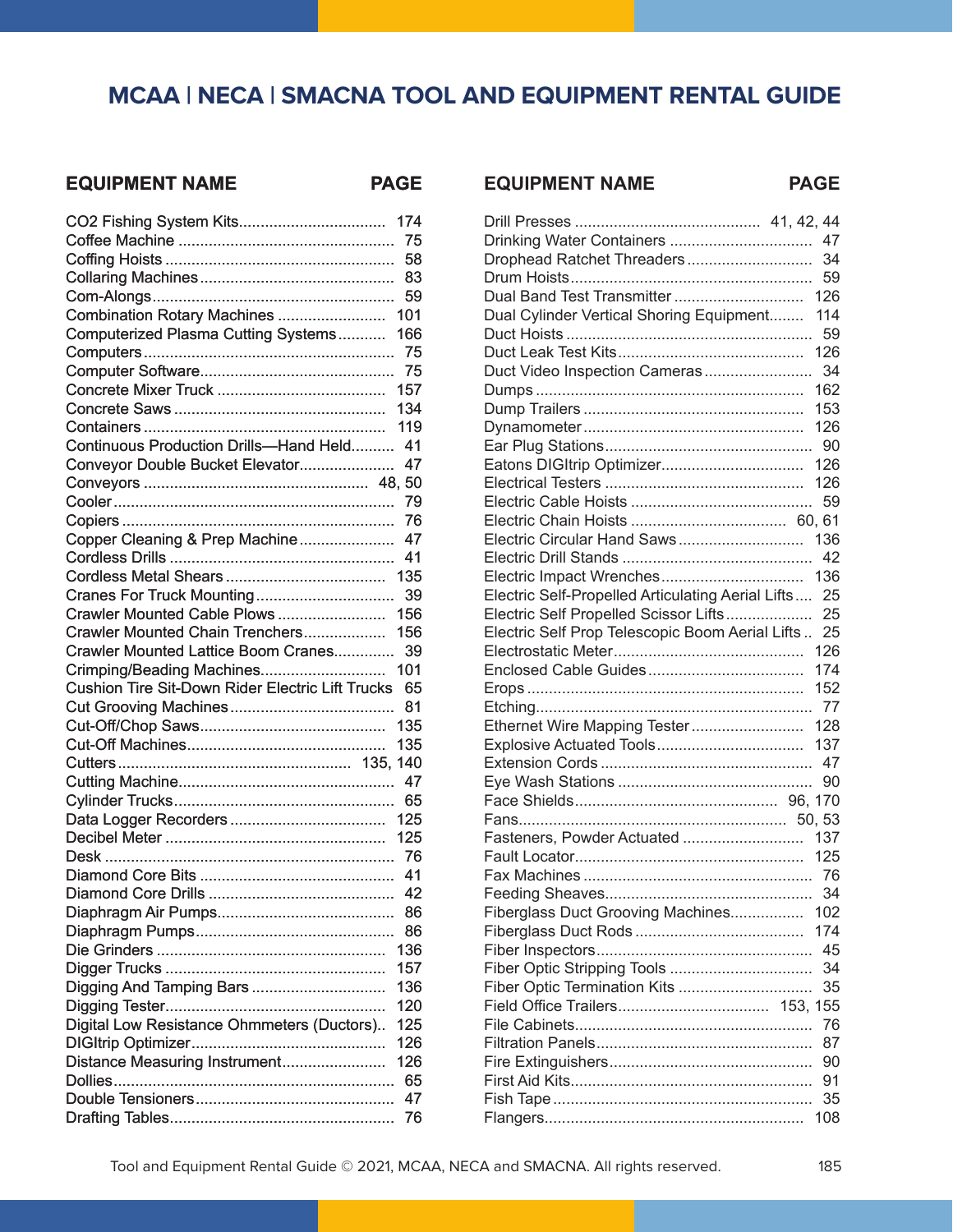## **EQUIPMENT NAME PAGE**

|                                                         | 174 |
|---------------------------------------------------------|-----|
|                                                         | 75  |
|                                                         | 58  |
|                                                         | 83  |
|                                                         | 59  |
| Combination Rotary Machines                             | 101 |
| Computerized Plasma Cutting Systems                     | 166 |
|                                                         | 75  |
|                                                         | 75  |
|                                                         | 157 |
|                                                         | 134 |
|                                                         | 119 |
| Continuous Production Drills-Hand Held                  | 41  |
| Conveyor Double Bucket Elevator                         | 47  |
|                                                         |     |
|                                                         | 79  |
|                                                         | 76  |
| Copper Cleaning & Prep Machine                          | 47  |
|                                                         | 41  |
|                                                         | 135 |
| Cranes For Truck Mounting                               | 39  |
| Crawler Mounted Cable Plows                             | 156 |
| Crawler Mounted Chain Trenchers                         | 156 |
| Crawler Mounted Lattice Boom Cranes                     | 39  |
| Crimping/Beading Machines                               | 101 |
|                                                         | 65  |
| <b>Cushion Tire Sit-Down Rider Electric Lift Trucks</b> |     |
|                                                         | 81  |
|                                                         | 135 |
|                                                         | 135 |
|                                                         |     |
|                                                         | 47  |
|                                                         | 65  |
|                                                         | 125 |
|                                                         | 125 |
|                                                         |     |
|                                                         | 41  |
|                                                         | 42  |
|                                                         | 86  |
|                                                         | 86  |
|                                                         | 136 |
|                                                         | 157 |
| Digging And Tamping Bars                                | 136 |
|                                                         | 120 |
| Digital Low Resistance Ohmmeters (Ductors)              | 125 |
|                                                         | 126 |
| Distance Measuring Instrument                           | 126 |
|                                                         | 65  |
|                                                         | 47  |
|                                                         | 76  |
|                                                         |     |

| Drinking Water Containers                                   |  | 47  |
|-------------------------------------------------------------|--|-----|
| Drophead Ratchet Threaders                                  |  | 34  |
|                                                             |  | 59  |
| Dual Band Test Transmitter                                  |  | 126 |
| Dual Cylinder Vertical Shoring Equipment                    |  | 114 |
|                                                             |  | 59  |
|                                                             |  | 126 |
| Duct Video Inspection Cameras                               |  | 34  |
|                                                             |  | 162 |
|                                                             |  | 153 |
|                                                             |  | 126 |
|                                                             |  | 90  |
|                                                             |  | 126 |
|                                                             |  | 126 |
|                                                             |  | 59  |
|                                                             |  |     |
| Electric Circular Hand Saws                                 |  | 136 |
|                                                             |  | 42  |
| Electric Impact Wrenches                                    |  | 136 |
| Electric Self-Propelled Articulating Aerial Lifts           |  | 25  |
| Electric Self Propelled Scissor Lifts                       |  | 25  |
| Electric Self Prop Telescopic Boom Aerial Lifts             |  | 25  |
|                                                             |  | 126 |
|                                                             |  | 174 |
|                                                             |  | 152 |
|                                                             |  | 77  |
| Ethernet Wire Mapping Tester                                |  | 128 |
|                                                             |  | 137 |
|                                                             |  | 47  |
|                                                             |  | 90  |
|                                                             |  |     |
|                                                             |  |     |
| Fasteners, Powder Actuated                                  |  | 137 |
|                                                             |  | 125 |
|                                                             |  |     |
|                                                             |  | 34  |
| Fiberglass Duct Grooving Machines                           |  | 102 |
|                                                             |  | 174 |
|                                                             |  | 45  |
|                                                             |  | 34  |
| Fiber Optic Stripping Tools<br>Fiber Optic Termination Kits |  | 35  |
|                                                             |  |     |
|                                                             |  |     |
|                                                             |  | 76  |
|                                                             |  | 87  |
|                                                             |  | 90  |
|                                                             |  | 91  |
|                                                             |  | 35  |
|                                                             |  | 108 |

**EQUIPMENT NAME PAGE**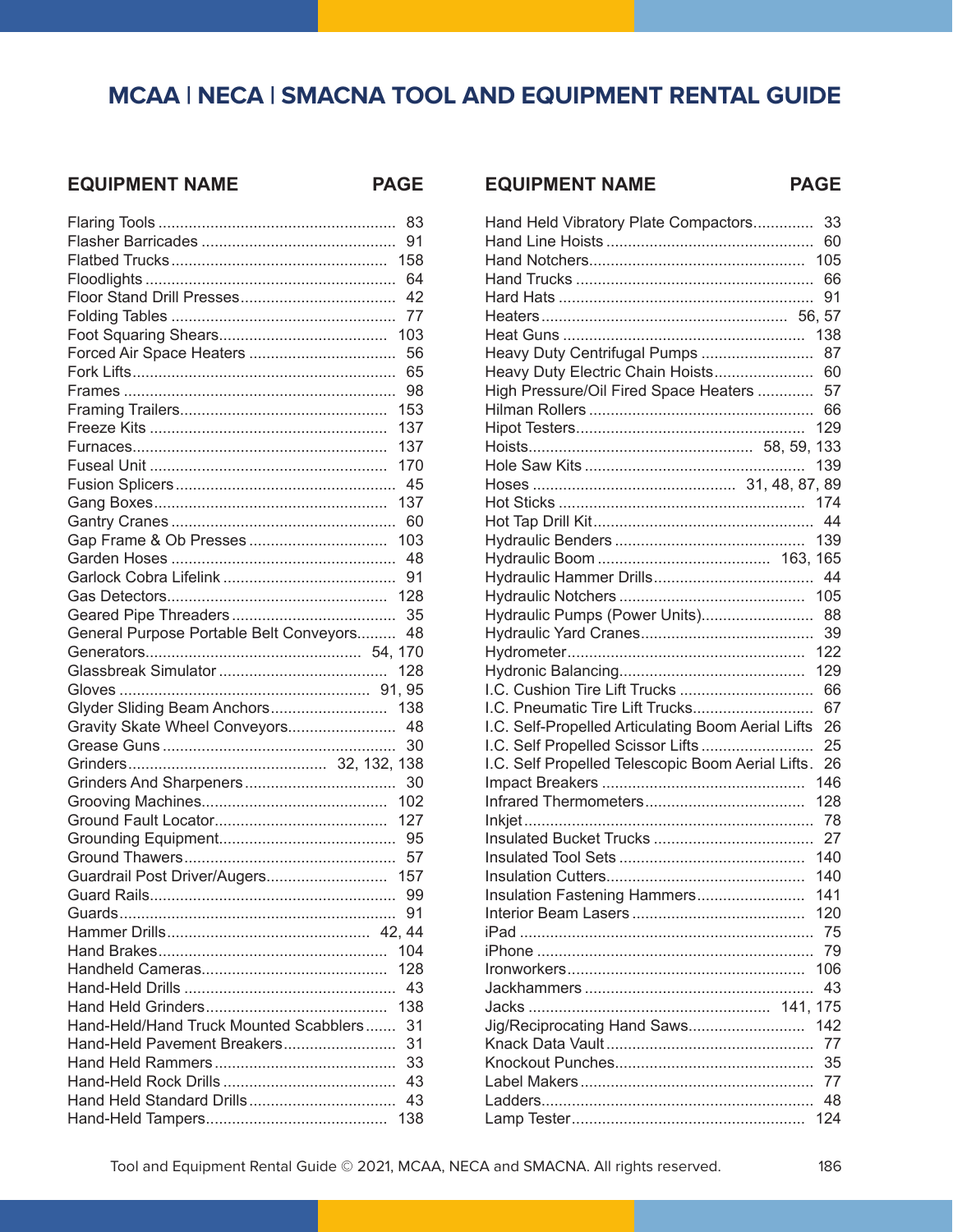### **EQUIPMENT NAME PAGE**

|                                           | 83  |
|-------------------------------------------|-----|
|                                           | 91  |
|                                           | 158 |
|                                           | 64  |
|                                           | 42  |
|                                           | 77  |
|                                           | 103 |
| Forced Air Space Heaters                  | 56  |
|                                           | 65  |
|                                           | 98  |
|                                           | 153 |
|                                           | 137 |
|                                           | 137 |
|                                           | 170 |
|                                           | 45  |
|                                           | 137 |
|                                           | 60  |
|                                           | 103 |
|                                           | 48  |
|                                           | 91  |
|                                           | 128 |
|                                           | 35  |
| General Purpose Portable Belt Conveyors   | 48  |
|                                           |     |
|                                           | 128 |
|                                           |     |
|                                           |     |
|                                           |     |
| Glyder Sliding Beam Anchors               | 138 |
| Gravity Skate Wheel Conveyors             | 48  |
|                                           | 30  |
|                                           |     |
|                                           | 30  |
|                                           | 102 |
|                                           | 127 |
|                                           | 95  |
|                                           | 57  |
| Guardrail Post Driver/Augers              | 157 |
|                                           | 99  |
|                                           | 91  |
|                                           |     |
|                                           |     |
|                                           | 128 |
|                                           |     |
|                                           |     |
| Hand-Held/Hand Truck Mounted Scabblers 31 |     |
| Hand-Held Pavement Breakers               | 31  |
|                                           | 33  |
|                                           |     |
|                                           |     |

|  |  | <b>EQUIPMENT NAME</b> |
|--|--|-----------------------|
|--|--|-----------------------|

**PAGE** 

| Hand Held Vibratory Plate Compactors               | 33  |
|----------------------------------------------------|-----|
|                                                    | 60  |
|                                                    | 105 |
|                                                    | 66  |
|                                                    | 91  |
|                                                    |     |
|                                                    | 138 |
| Heavy Duty Centrifugal Pumps                       | 87  |
| Heavy Duty Electric Chain Hoists                   | 60  |
| High Pressure/Oil Fired Space Heaters              | 57  |
|                                                    | 66  |
|                                                    | 129 |
|                                                    |     |
|                                                    | 139 |
|                                                    |     |
|                                                    | 174 |
|                                                    | 44  |
|                                                    | 139 |
|                                                    |     |
|                                                    | 44  |
|                                                    | 105 |
| Hydraulic Pumps (Power Units)                      | 88  |
|                                                    | 39  |
|                                                    | 122 |
|                                                    | 129 |
| I.C. Cushion Tire Lift Trucks                      | 66  |
| I.C. Pneumatic Tire Lift Trucks                    | 67  |
| I.C. Self-Propelled Articulating Boom Aerial Lifts | 26  |
| I.C. Self Propelled Scissor Lifts                  | 25  |
| I.C. Self Propelled Telescopic Boom Aerial Lifts.  | 26  |
|                                                    | 146 |
|                                                    | 128 |
|                                                    | 78  |
|                                                    | 27  |
|                                                    | 140 |
|                                                    | 140 |
| Insulation Fastening Hammers                       | 141 |
|                                                    | 120 |
|                                                    | 75  |
|                                                    | 79  |
|                                                    | 106 |
|                                                    | 43  |
| 141.175                                            |     |
| Jig/Reciprocating Hand Saws                        | 142 |
|                                                    | 77  |
|                                                    | 35  |
|                                                    | 77  |
|                                                    | 48  |
|                                                    | 124 |
|                                                    |     |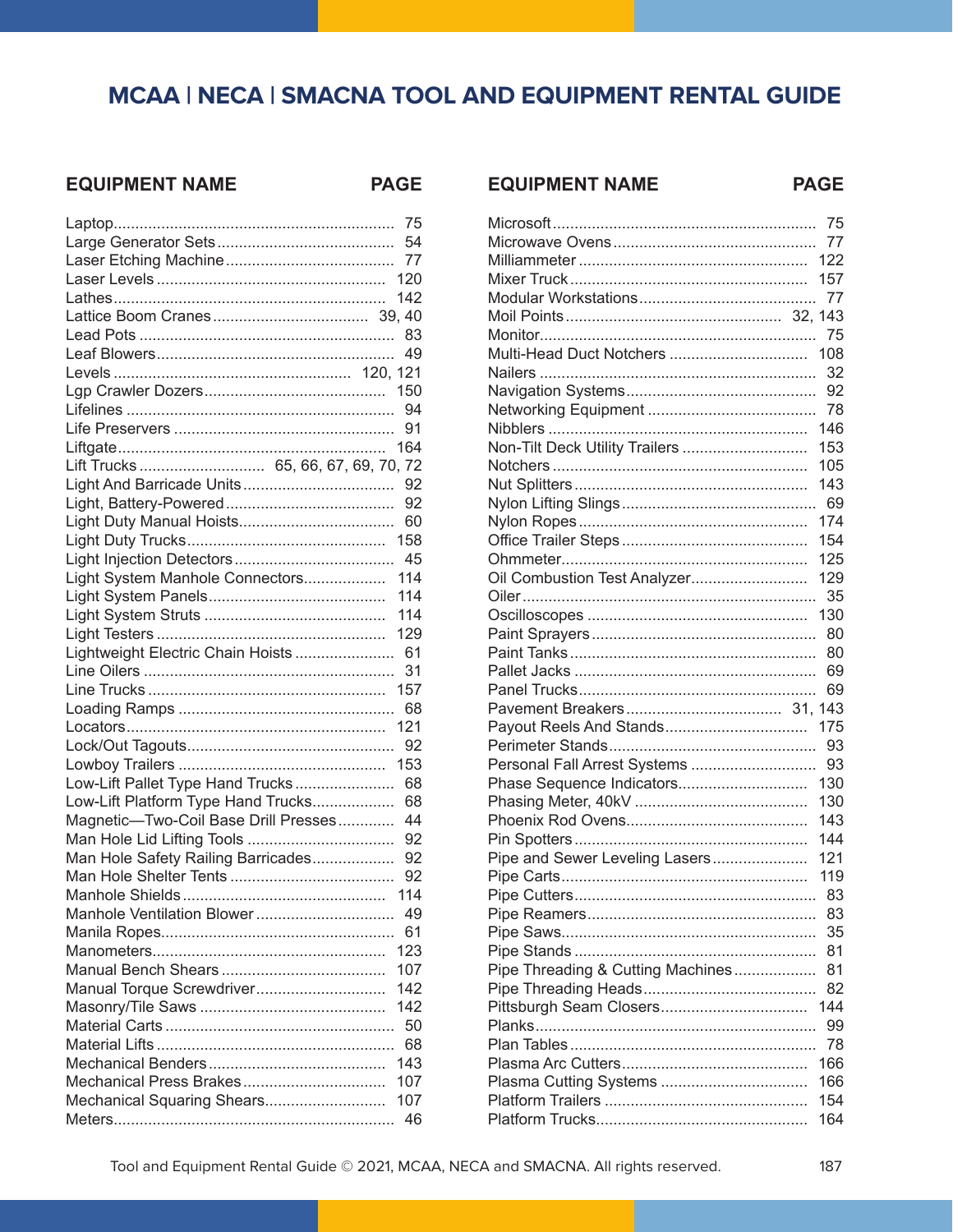## EQUIPMENT NAME PAGE

|                                       | 75  |
|---------------------------------------|-----|
|                                       |     |
|                                       | 77  |
|                                       |     |
|                                       | 142 |
|                                       |     |
|                                       |     |
|                                       | 49  |
|                                       |     |
|                                       |     |
|                                       |     |
|                                       | 91  |
|                                       | 164 |
| Lift Trucks  65, 66, 67, 69, 70, 72   |     |
|                                       | 92  |
|                                       | 92  |
|                                       | 60  |
|                                       |     |
|                                       |     |
| Light System Manhole Connectors 114   |     |
|                                       | 114 |
|                                       | 114 |
|                                       | 129 |
| Lightweight Electric Chain Hoists  61 |     |
|                                       | 31  |
|                                       | 157 |
|                                       |     |
|                                       | 121 |
|                                       |     |
|                                       |     |
| Low-Lift Pallet Type Hand Trucks 68   |     |
| Low-Lift Platform Type Hand Trucks    | 68  |
| Magnetic-Two-Coil Base Drill Presses  | 44  |
|                                       |     |
| Man Hole Safety Railing Barricades 92 |     |
|                                       | 92  |
|                                       | 114 |
| Manhole Ventilation Blower            | 49  |
|                                       |     |
|                                       |     |
|                                       | 107 |
| Manual Torque Screwdriver             | 142 |
|                                       | 142 |
|                                       | 50  |
|                                       | 68  |
|                                       | 143 |
| Mechanical Press Brakes               | 107 |
| Mechanical Squaring Shears            | 107 |
|                                       | 46  |
|                                       |     |

|                                   | 75  |
|-----------------------------------|-----|
|                                   | 77  |
|                                   | 122 |
|                                   | 157 |
|                                   | 77  |
|                                   |     |
|                                   | 75  |
| Multi-Head Duct Notchers          | 108 |
|                                   | 32  |
|                                   | 92  |
|                                   | 78  |
|                                   | 146 |
| Non-Tilt Deck Utility Trailers    | 153 |
|                                   | 105 |
|                                   | 143 |
|                                   | 69  |
|                                   | 174 |
|                                   | 154 |
|                                   | 125 |
| Oil Combustion Test Analyzer      | 129 |
|                                   | 35  |
|                                   | 130 |
|                                   | 80  |
|                                   |     |
|                                   | 80  |
|                                   | 69  |
|                                   | 69  |
|                                   |     |
| Payout Reels And Stands           | 175 |
|                                   | 93  |
| Personal Fall Arrest Systems      | 93  |
| Phase Sequence Indicators         | 130 |
|                                   | 130 |
|                                   | 143 |
|                                   | 144 |
| Pipe and Sewer Leveling Lasers    | 121 |
|                                   | 119 |
|                                   | 83  |
|                                   | 83  |
|                                   | 35  |
|                                   | 81  |
| Pipe Threading & Cutting Machines | 81  |
|                                   | 82  |
|                                   | 144 |
|                                   | 99  |
|                                   | 78  |
|                                   | 166 |
|                                   | 166 |
|                                   | 154 |
|                                   | 164 |

**EQUIPMENT NAME** 

**PAGE**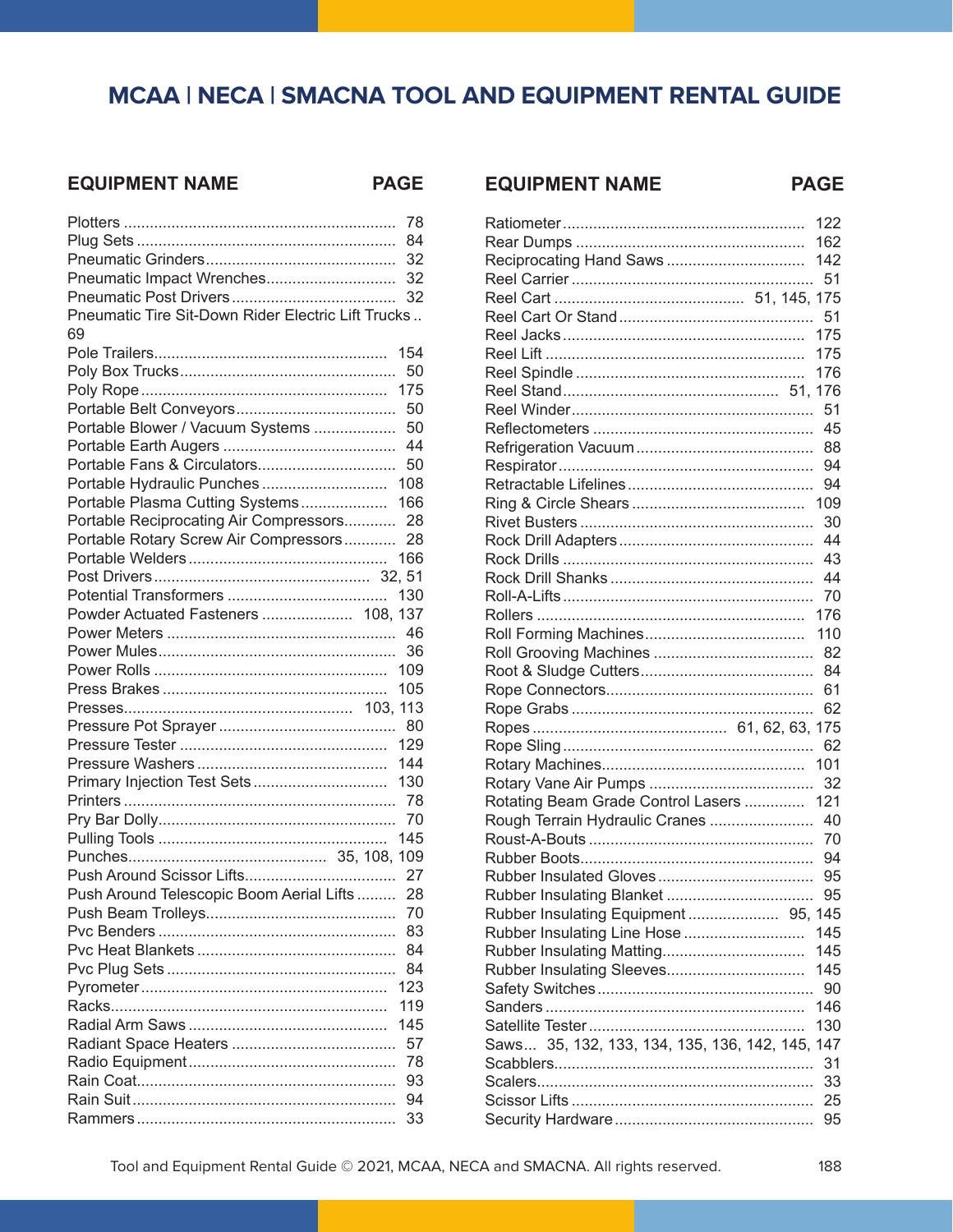#### **EQUIPMENT NAME PAGE**

|                                                    | 78  |
|----------------------------------------------------|-----|
|                                                    | 84  |
|                                                    | 32  |
| Pneumatic Impact Wrenches                          | 32  |
|                                                    | 32  |
| Pneumatic Tire Sit-Down Rider Electric Lift Trucks |     |
| 69                                                 |     |
|                                                    | 154 |
|                                                    | 50  |
|                                                    | 175 |
|                                                    | 50  |
| Portable Blower / Vacuum Systems                   | 50  |
|                                                    | 44  |
| Portable Fans & Circulators                        | 50  |
| Portable Hydraulic Punches                         | 108 |
| Portable Plasma Cutting Systems                    | 166 |
| Portable Reciprocating Air Compressors             | 28  |
| Portable Rotary Screw Air Compressors              | 28  |
|                                                    | 166 |
|                                                    |     |
|                                                    | 130 |
| Powder Actuated Fasteners  108, 137                |     |
|                                                    | 46  |
|                                                    | 36  |
|                                                    | 109 |
|                                                    | 105 |
|                                                    |     |
|                                                    |     |
|                                                    | 129 |
|                                                    | 144 |
| Primary Injection Test Sets                        | 130 |
|                                                    | 78  |
|                                                    | 70  |
|                                                    | 145 |
|                                                    |     |
|                                                    | 27  |
| Push Around Telescopic Boom Aerial Lifts           | 28  |
|                                                    | 70  |
|                                                    | 83  |
|                                                    | 84  |
|                                                    | 84  |
|                                                    | 123 |
|                                                    | 119 |
|                                                    | 145 |
|                                                    | 57  |
|                                                    | 78  |
|                                                    | 93  |
|                                                    | 94  |
|                                                    | 33  |
|                                                    |     |

|                                                 | 122      |
|-------------------------------------------------|----------|
|                                                 | 162      |
| Reciprocating Hand Saws                         | 142      |
|                                                 |          |
|                                                 |          |
|                                                 |          |
|                                                 | 175      |
|                                                 | 175      |
|                                                 | 176      |
|                                                 |          |
|                                                 |          |
|                                                 | 45       |
|                                                 | 88       |
|                                                 | 94       |
|                                                 | 94       |
|                                                 | 109      |
|                                                 | 30       |
|                                                 | 44       |
|                                                 | 43       |
|                                                 | 44       |
|                                                 |          |
|                                                 | 176      |
|                                                 |          |
|                                                 |          |
|                                                 |          |
|                                                 | 61       |
|                                                 | 62       |
|                                                 |          |
|                                                 |          |
|                                                 |          |
|                                                 |          |
| Rotating Beam Grade Control Lasers  121         |          |
| Rough Terrain Hydraulic Cranes  40              |          |
|                                                 |          |
|                                                 | 94       |
|                                                 | 95       |
|                                                 | 95       |
| Rubber Insulating Equipment  95, 145            |          |
| Rubber Insulating Line Hose                     | 145      |
|                                                 | 145      |
|                                                 | 145      |
|                                                 | 90       |
|                                                 | 146      |
|                                                 | 130      |
| Saws 35, 132, 133, 134, 135, 136, 142, 145, 147 |          |
|                                                 | 31       |
|                                                 |          |
|                                                 | 33       |
|                                                 | 25<br>95 |

**EQUIPMENT NAME PAGE**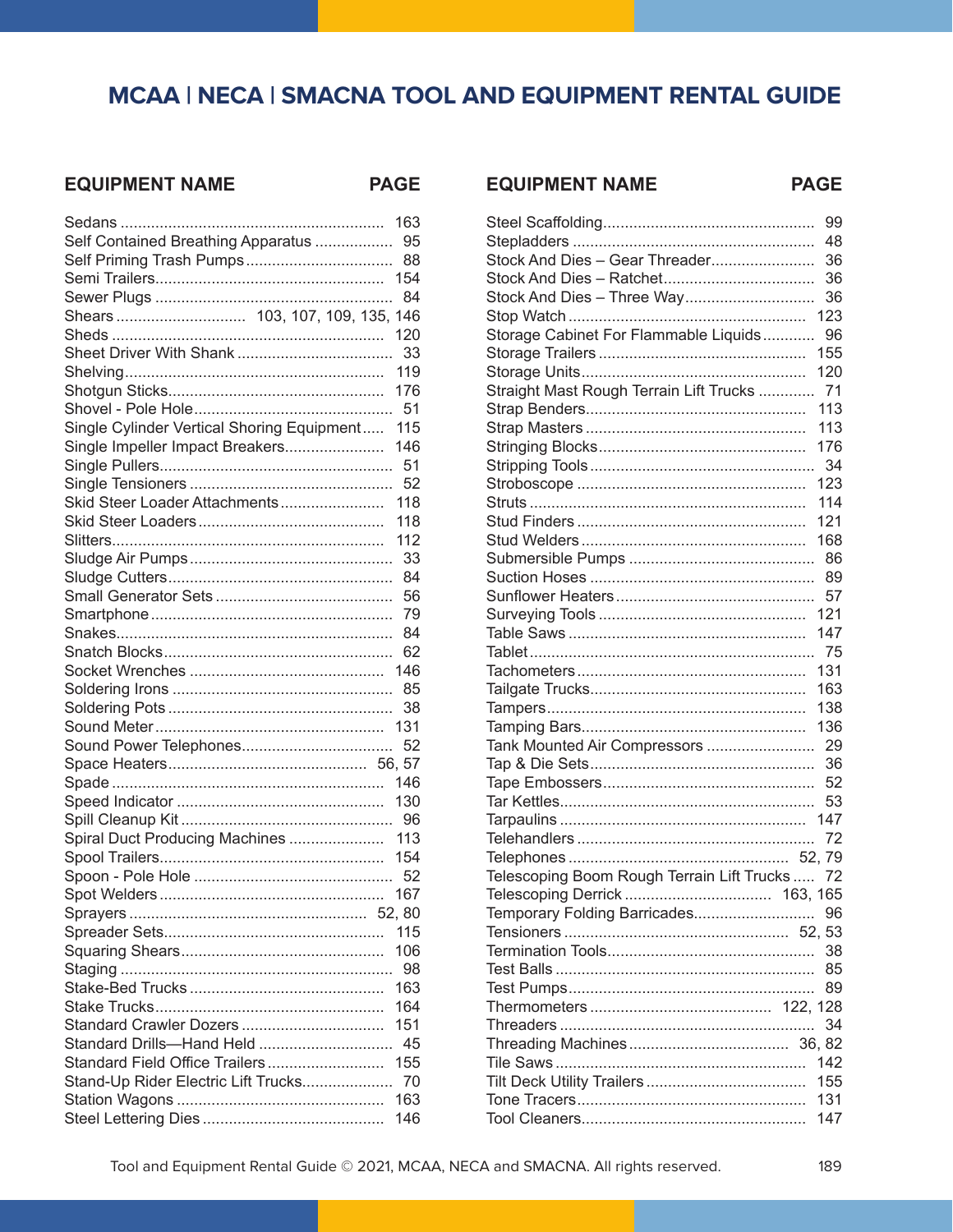#### **EQUIPMENT NAME**

PAGE E

|                                            | 163 |
|--------------------------------------------|-----|
| Self Contained Breathing Apparatus         | 95  |
|                                            | 88  |
|                                            | 154 |
|                                            | 84  |
| Shears 103, 107, 109, 135, 146             |     |
|                                            | 120 |
|                                            | 33  |
|                                            | 119 |
|                                            | 176 |
|                                            | 51  |
| Single Cylinder Vertical Shoring Equipment | 115 |
| Single Impeller Impact Breakers            | 146 |
|                                            | 51  |
|                                            | 52  |
| Skid Steer Loader Attachments              | 118 |
|                                            | 118 |
|                                            | 112 |
|                                            | 33  |
|                                            | 84  |
|                                            | 56  |
|                                            | 79  |
|                                            | 84  |
|                                            | 62  |
|                                            | 146 |
|                                            | 85  |
|                                            | 38  |
|                                            | 131 |
|                                            | 52  |
|                                            |     |
|                                            | 146 |
|                                            | 130 |
|                                            | 96  |
| Spiral Duct Producing Machines             | 113 |
|                                            | 154 |
|                                            | 52  |
|                                            | 167 |
|                                            |     |
|                                            | 115 |
|                                            | 106 |
|                                            | 98  |
|                                            | 163 |
|                                            | 164 |
| Standard Crawler Dozers                    | 151 |
| Standard Drills-Hand Held                  | 45  |
| Standard Field Office Trailers             | 155 |
| Stand-Up Rider Electric Lift Trucks        | 70  |
|                                            | 163 |
|                                            | 146 |
|                                            |     |

**PAGE** 

|                                                | 99  |
|------------------------------------------------|-----|
|                                                | 48  |
| Stock And Dies - Gear Threader                 | 36  |
|                                                | 36  |
| Stock And Dies - Three Way                     | 36  |
|                                                | 123 |
| Storage Cabinet For Flammable Liquids          | 96  |
|                                                | 155 |
|                                                | 120 |
| Straight Mast Rough Terrain Lift Trucks  71    |     |
|                                                | 113 |
|                                                | 113 |
|                                                | 176 |
|                                                | 34  |
|                                                | 123 |
|                                                | 114 |
|                                                | 121 |
|                                                | 168 |
|                                                | 86  |
|                                                | 89  |
|                                                | 57  |
|                                                | 121 |
|                                                | 147 |
|                                                |     |
|                                                | 131 |
|                                                | 163 |
|                                                | 138 |
|                                                | 136 |
| Tank Mounted Air Compressors                   | 29  |
|                                                | 36  |
|                                                | 52  |
|                                                | 53  |
|                                                |     |
|                                                | 72  |
|                                                |     |
| Telescoping Boom Rough Terrain Lift Trucks  72 |     |
|                                                |     |
| Temporary Folding Barricades                   | 96  |
|                                                |     |
|                                                | 38  |
|                                                | 85  |
|                                                | 89  |
|                                                |     |
|                                                | 34  |
|                                                |     |
|                                                | 142 |
|                                                | 155 |
|                                                | 131 |
|                                                | 147 |